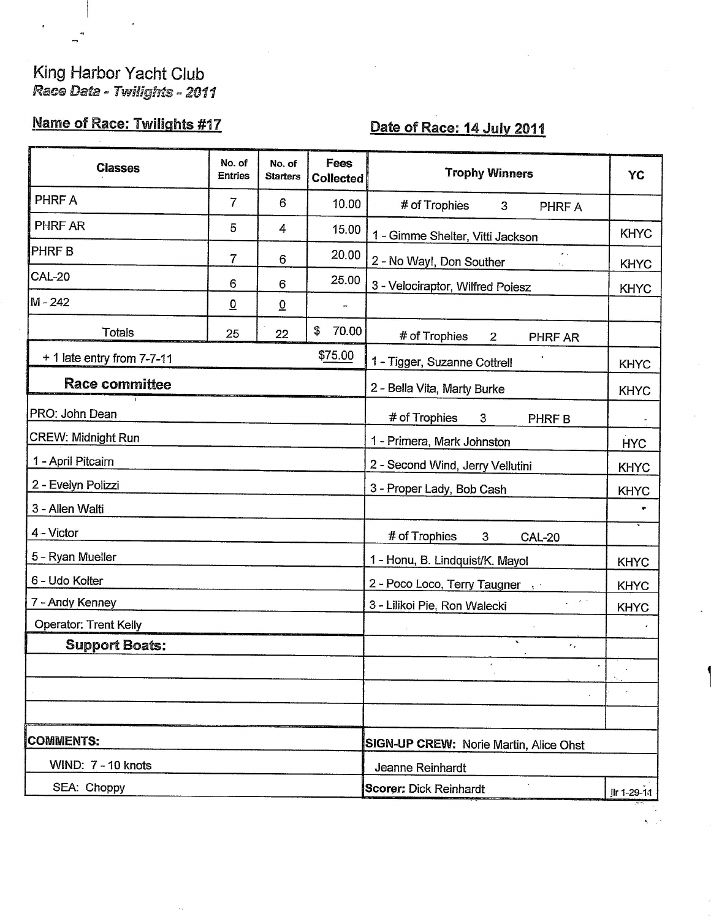## King Harbor Yacht Club<br>Race Data - Twilights - 2011

## Name of Race: Twilights #17

 $\sim$ 

## Date of Race: 14 July 2011

 $\mathbb{R}^2$ 

| <b>Classes</b>               | No. of<br><b>Entries</b> | No. of<br><b>Starters</b> | <b>Fees</b><br><b>Collected</b>                     | <b>Trophy Winners</b>                                             | YC          |  |
|------------------------------|--------------------------|---------------------------|-----------------------------------------------------|-------------------------------------------------------------------|-------------|--|
| PHRF A                       | 7                        | 6                         | 10.00                                               | # of Trophies<br>3<br>PHRF A                                      |             |  |
| PHRF AR                      | 5                        | 4                         | 15.00                                               | 1 - Gimme Shelter, Vitti Jackson                                  | <b>KHYC</b> |  |
| <b>PHRFB</b>                 | 7                        | 6                         | 20.00                                               | $\epsilon$ .<br>2 - No Way!, Don Souther<br>$\mathbb{Z}_{\geq 0}$ | <b>KHYC</b> |  |
| <b>CAL-20</b>                | 6                        | 6                         | 25.00                                               | 3 - Velociraptor, Wilfred Poiesz                                  | <b>KHYC</b> |  |
| M-242                        | $\overline{0}$           | $\overline{0}$            |                                                     |                                                                   |             |  |
| <b>Totals</b>                | 25                       | 22                        | \$<br>70.00                                         | # of Trophies<br>$\overline{2}$<br>PHRF AR                        |             |  |
| $+$ 1 late entry from 7-7-11 |                          |                           | \$75.00                                             | 1 - Tigger, Suzanne Cottrell<br><b>KHYC</b>                       |             |  |
| <b>Race committee</b>        |                          |                           | 2 - Bella Vita, Marty Burke<br><b>KHYC</b>          |                                                                   |             |  |
| PRO: John Dean               |                          |                           | # of Trophies<br>3<br>PHRF B                        |                                                                   |             |  |
| <b>CREW: Midnight Run</b>    |                          |                           | 1 - Primera, Mark Johnston                          |                                                                   |             |  |
| 1 - April Pitcairn           |                          |                           | 2 - Second Wind, Jerry Vellutini<br><b>KHYC</b>     |                                                                   |             |  |
| 2 - Evelyn Polizzi           |                          |                           | 3 - Proper Lady, Bob Cash                           | <b>KHYC</b>                                                       |             |  |
| 3 - Allen Walti              |                          |                           |                                                     |                                                                   |             |  |
| 4 - Victor                   |                          |                           | # of Trophies<br>3<br><b>CAL-20</b>                 |                                                                   |             |  |
| 5 - Ryan Mueller             |                          |                           | 1 - Honu, B. Lindquist/K. Mayol<br><b>KHYC</b>      |                                                                   |             |  |
| 6 - Udo Kolter               |                          |                           | 2 - Poco Loco, Terry Taugner,<br><b>KHYC</b>        |                                                                   |             |  |
| 7 - Andy Kenney              |                          |                           | $\sim$ $\sim$<br>s.<br>3 - Lilikoi Pie, Ron Walecki | <b>KHYC</b>                                                       |             |  |
| <b>Operator: Trent Kelly</b> |                          |                           |                                                     |                                                                   |             |  |
| <b>Support Boats:</b>        |                          |                           |                                                     | $\mathbf{v}_i$<br>$\epsilon$ .                                    |             |  |
|                              |                          |                           |                                                     |                                                                   |             |  |
|                              |                          |                           |                                                     |                                                                   |             |  |
|                              |                          |                           |                                                     |                                                                   |             |  |
| <b>COMMENTS:</b>             |                          |                           | SIGN-UP CREW: Norie Martin, Alice Ohst              |                                                                   |             |  |
| WIND: 7 - 10 knots           |                          |                           | Jeanne Reinhardt                                    |                                                                   |             |  |
| SEA: Choppy                  |                          |                           |                                                     | <b>Scorer: Dick Reinhardt</b>                                     | jlr 1-29-11 |  |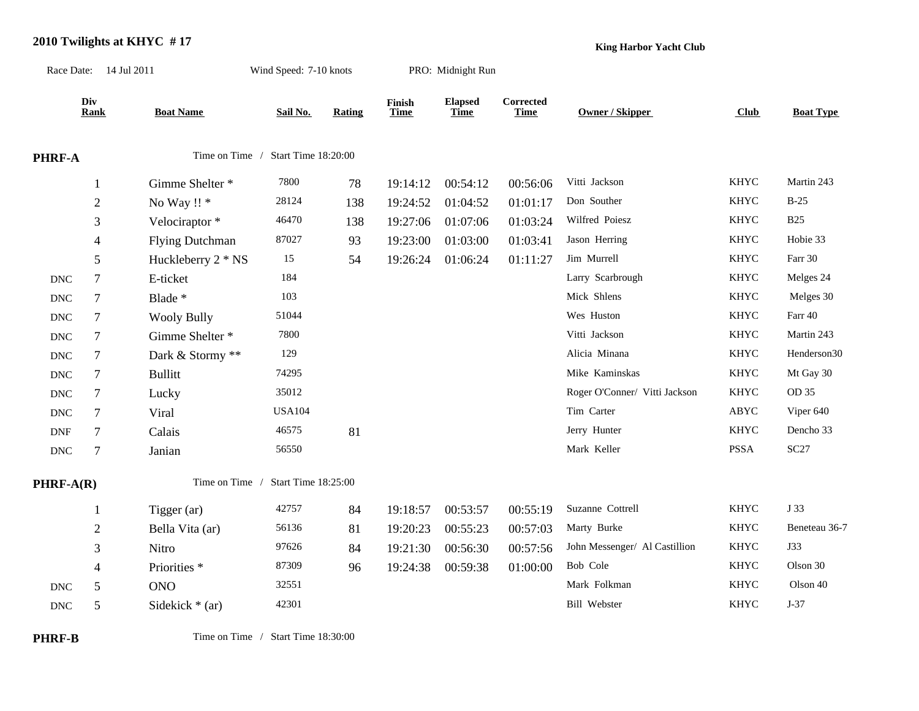## **2010 Twilights at KHYC # 17**

**King Harbor Yacht Club**

|                           | Race Date: 14 Jul 2011 |                         | Wind Speed: 7-10 knots |        |                | PRO: Midnight Run             |                          |                               |             |                  |
|---------------------------|------------------------|-------------------------|------------------------|--------|----------------|-------------------------------|--------------------------|-------------------------------|-------------|------------------|
|                           | Div<br>Rank            | <b>Boat Name</b>        | Sail No.               | Rating | Finish<br>Time | <b>Elapsed</b><br><b>Time</b> | Corrected<br><b>Time</b> | Owner / Skipper               | Club        | <b>Boat Type</b> |
| PHRF-A                    |                        | Time on Time /          | Start Time 18:20:00    |        |                |                               |                          |                               |             |                  |
|                           | $\mathbf{1}$           | Gimme Shelter *         | 7800                   | 78     | 19:14:12       | 00:54:12                      | 00:56:06                 | Vitti Jackson                 | <b>KHYC</b> | Martin 243       |
|                           | $\overline{2}$         | No Way !! *             | 28124                  | 138    | 19:24:52       | 01:04:52                      | 01:01:17                 | Don Souther                   | <b>KHYC</b> | $B-25$           |
|                           | 3                      | Velociraptor*           | 46470                  | 138    | 19:27:06       | 01:07:06                      | 01:03:24                 | Wilfred Poiesz                | <b>KHYC</b> | <b>B25</b>       |
|                           | $\overline{4}$         | <b>Flying Dutchman</b>  | 87027                  | 93     | 19:23:00       | 01:03:00                      | 01:03:41                 | Jason Herring                 | <b>KHYC</b> | Hobie 33         |
|                           | 5                      | Huckleberry 2 * NS      | 15                     | 54     | 19:26:24       | 01:06:24                      | 01:11:27                 | Jim Murrell                   | <b>KHYC</b> | Farr 30          |
| <b>DNC</b>                | $\overline{7}$         | E-ticket                | 184                    |        |                |                               |                          | Larry Scarbrough              | <b>KHYC</b> | Melges 24        |
| <b>DNC</b>                | $\tau$                 | Blade *                 | 103                    |        |                |                               |                          | Mick Shlens                   | <b>KHYC</b> | Melges 30        |
| <b>DNC</b>                | $\tau$                 | <b>Wooly Bully</b>      | 51044                  |        |                |                               |                          | Wes Huston                    | KHYC        | Farr 40          |
| $\ensuremath{\text{DNC}}$ | $\tau$                 | Gimme Shelter *         | 7800                   |        |                |                               |                          | Vitti Jackson                 | <b>KHYC</b> | Martin 243       |
| $\operatorname{DNC}$      | $\tau$                 | Dark & Stormy **        | 129                    |        |                |                               |                          | Alicia Minana                 | <b>KHYC</b> | Henderson30      |
| $\operatorname{DNC}$      | $\tau$                 | <b>Bullitt</b>          | 74295                  |        |                |                               |                          | Mike Kaminskas                | <b>KHYC</b> | Mt Gay 30        |
| <b>DNC</b>                | $\tau$                 | Lucky                   | 35012                  |        |                |                               |                          | Roger O'Conner/ Vitti Jackson | <b>KHYC</b> | OD 35            |
| <b>DNC</b>                | $\tau$                 | Viral                   | <b>USA104</b>          |        |                |                               |                          | Tim Carter                    | ABYC        | Viper 640        |
| <b>DNF</b>                | $\tau$                 | Calais                  | 46575                  | 81     |                |                               |                          | Jerry Hunter                  | <b>KHYC</b> | Dencho 33        |
| $\ensuremath{\text{DNC}}$ | $\tau$                 | Janian                  | 56550                  |        |                |                               |                          | Mark Keller                   | <b>PSSA</b> | SC27             |
| PHRF-A(R)                 |                        | Time on Time /          | Start Time 18:25:00    |        |                |                               |                          |                               |             |                  |
|                           | 1                      | Tigger (ar)             | 42757                  | 84     | 19:18:57       | 00:53:57                      | 00:55:19                 | Suzanne Cottrell              | <b>KHYC</b> | J 33             |
|                           | $\overline{c}$         | Bella Vita (ar)         | 56136                  | 81     | 19:20:23       | 00:55:23                      | 00:57:03                 | Marty Burke                   | <b>KHYC</b> | Beneteau 36-7    |
|                           | $\mathfrak{Z}$         | Nitro                   | 97626                  | 84     | 19:21:30       | 00:56:30                      | 00:57:56                 | John Messenger/ Al Castillion | <b>KHYC</b> | <b>J33</b>       |
|                           | $\overline{4}$         | Priorities <sup>*</sup> | 87309                  | 96     | 19:24:38       | 00:59:38                      | 01:00:00                 | Bob Cole                      | <b>KHYC</b> | Olson 30         |
| <b>DNC</b>                | 5                      | <b>ONO</b>              | 32551                  |        |                |                               |                          | Mark Folkman                  | <b>KHYC</b> | Olson 40         |
| $\operatorname{DNC}$      | 5                      | Sidekick $*$ (ar)       | 42301                  |        |                |                               |                          | <b>Bill Webster</b>           | <b>KHYC</b> | $J-37$           |
|                           |                        |                         |                        |        |                |                               |                          |                               |             |                  |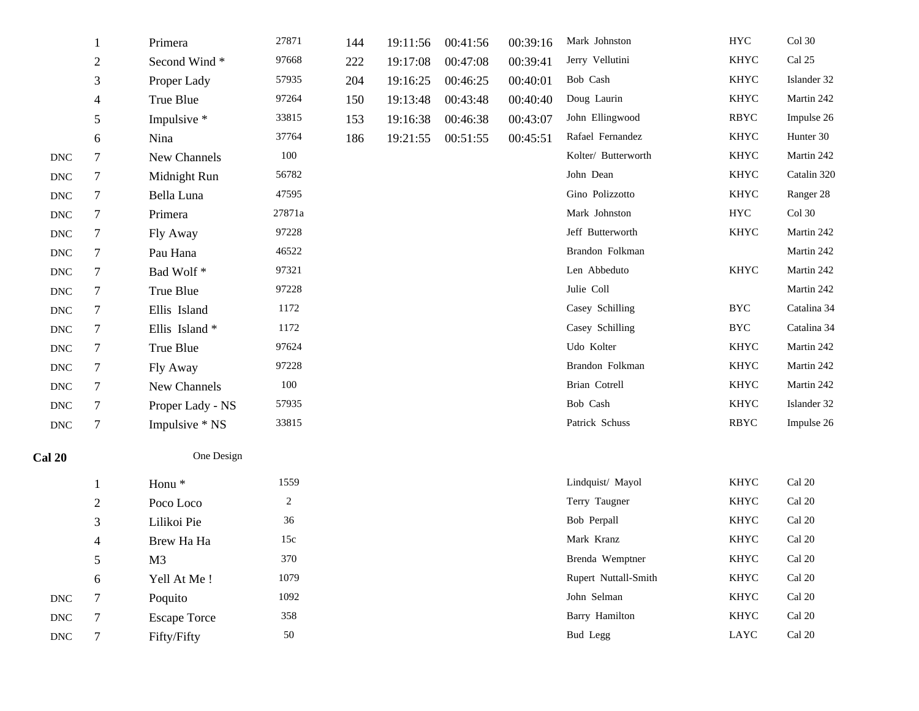|                      | 1              | Primera             | 27871  | 144 | 19:11:56 | 00:41:56 | 00:39:16 | Mark Johnston        | <b>HYC</b>  | Col 30                  |
|----------------------|----------------|---------------------|--------|-----|----------|----------|----------|----------------------|-------------|-------------------------|
|                      | $\overline{2}$ | Second Wind*        | 97668  | 222 | 19:17:08 | 00:47:08 | 00:39:41 | Jerry Vellutini      | <b>KHYC</b> | Cal 25                  |
|                      | 3              | Proper Lady         | 57935  | 204 | 19:16:25 | 00:46:25 | 00:40:01 | Bob Cash             | <b>KHYC</b> | Islander 32             |
|                      | $\overline{4}$ | True Blue           | 97264  | 150 | 19:13:48 | 00:43:48 | 00:40:40 | Doug Laurin          | <b>KHYC</b> | Martin 242              |
|                      | 5              | Impulsive *         | 33815  | 153 | 19:16:38 | 00:46:38 | 00:43:07 | John Ellingwood      | RBYC        | Impulse 26              |
|                      | 6              | Nina                | 37764  | 186 | 19:21:55 | 00:51:55 | 00:45:51 | Rafael Fernandez     | <b>KHYC</b> | Hunter 30               |
| $\operatorname{DNC}$ | $\tau$         | New Channels        | 100    |     |          |          |          | Kolter/ Butterworth  | <b>KHYC</b> | Martin 242              |
| $\operatorname{DNC}$ | $\tau$         | Midnight Run        | 56782  |     |          |          |          | John Dean            | <b>KHYC</b> | Catalin 320             |
| $\operatorname{DNC}$ | $\tau$         | Bella Luna          | 47595  |     |          |          |          | Gino Polizzotto      | <b>KHYC</b> | Ranger 28               |
| $\operatorname{DNC}$ | $\tau$         | Primera             | 27871a |     |          |          |          | Mark Johnston        | <b>HYC</b>  | $Col$ 30                |
| <b>DNC</b>           | 7              | Fly Away            | 97228  |     |          |          |          | Jeff Butterworth     | <b>KHYC</b> | Martin 242              |
| <b>DNC</b>           | $\tau$         | Pau Hana            | 46522  |     |          |          |          | Brandon Folkman      |             | Martin 242              |
| $\operatorname{DNC}$ | $\tau$         | Bad Wolf*           | 97321  |     |          |          |          | Len Abbeduto         | <b>KHYC</b> | Martin 242              |
| <b>DNC</b>           | $\tau$         | True Blue           | 97228  |     |          |          |          | Julie Coll           |             | Martin 242              |
| $\operatorname{DNC}$ | $\tau$         | Ellis Island        | 1172   |     |          |          |          | Casey Schilling      | <b>BYC</b>  | Catalina 34             |
| <b>DNC</b>           | $\tau$         | Ellis Island*       | 1172   |     |          |          |          | Casey Schilling      | <b>BYC</b>  | Catalina 34             |
| <b>DNC</b>           | $\tau$         | True Blue           | 97624  |     |          |          |          | Udo Kolter           | KHYC        | Martin 242              |
| $\operatorname{DNC}$ | $\tau$         | Fly Away            | 97228  |     |          |          |          | Brandon Folkman      | <b>KHYC</b> | Martin 242              |
| <b>DNC</b>           | $\tau$         | New Channels        | 100    |     |          |          |          | Brian Cotrell        | <b>KHYC</b> | Martin 242              |
| $\operatorname{DNC}$ | $\tau$         | Proper Lady - NS    | 57935  |     |          |          |          | Bob Cash             | <b>KHYC</b> | Islander 32             |
| $\operatorname{DNC}$ | $\tau$         | Impulsive * NS      | 33815  |     |          |          |          | Patrick Schuss       | RBYC        | Impulse 26              |
| <b>Cal 20</b>        |                | One Design          |        |     |          |          |          |                      |             |                         |
|                      | 1              | Honu <sup>*</sup>   | 1559   |     |          |          |          | Lindquist/ Mayol     | <b>KHYC</b> | Cal 20                  |
|                      | $\overline{2}$ | Poco Loco           | 2      |     |          |          |          | Terry Taugner        | <b>KHYC</b> | Cal 20                  |
|                      | 3              | Lilikoi Pie         | 36     |     |          |          |          | Bob Perpall          | <b>KHYC</b> | $\operatorname{Cal}$ 20 |
|                      | $\overline{4}$ | Brew Ha Ha          | 15c    |     |          |          |          | Mark Kranz           | <b>KHYC</b> | Cal 20                  |
|                      | 5              | M <sub>3</sub>      | 370    |     |          |          |          | Brenda Wemptner      | <b>KHYC</b> | $Cal$ 20                |
|                      | 6              | Yell At Me!         | 1079   |     |          |          |          | Rupert Nuttall-Smith | <b>KHYC</b> | $\operatorname{Cal}$ 20 |
| $\operatorname{DNC}$ | $\tau$         | Poquito             | 1092   |     |          |          |          | John Selman          | KHYC        | $\operatorname{Cal}$ 20 |
| <b>DNC</b>           | $\tau$         | <b>Escape Torce</b> | 358    |     |          |          |          | Barry Hamilton       | KHYC        | Cal 20                  |
| <b>DNC</b>           | 7              | Fifty/Fifty         | 50     |     |          |          |          | Bud Legg             | LAYC        | $\operatorname{Cal}$ 20 |